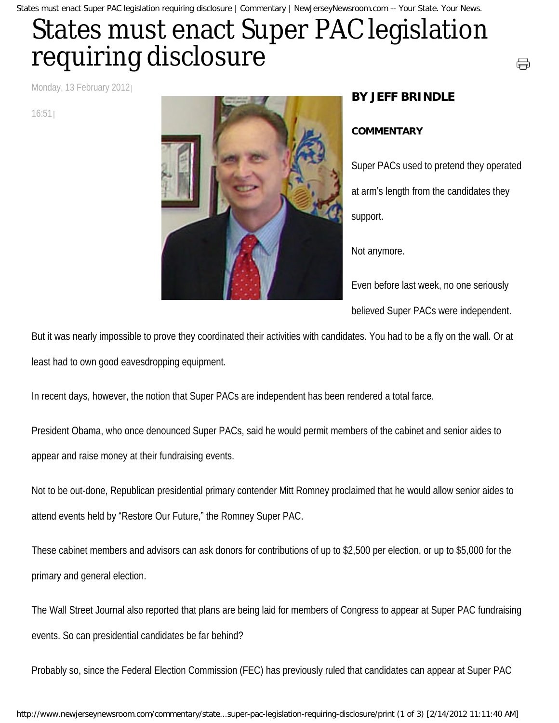States must enact Super PAC legislation requiring disclosure | Commentary | NewJerseyNewsroom.com -- Your State. Your News.

## States must enact Super PAC legislation requiring disclosure

Monday, 13 February 2012

16:51



## **BY JEFF BRINDLE**

## **COMMENTARY**

Super PACs used to pretend they operated at arm's length from the candidates they support.

⊖

Not anymore.

Even before last week, no one seriously believed Super PACs were independent.

But it was nearly impossible to prove they coordinated their activities with candidates. You had to be a fly on the wall. Or at least had to own good eavesdropping equipment.

In recent days, however, the notion that Super PACs are independent has been rendered a total farce.

President Obama, who once denounced Super PACs, said he would permit members of the cabinet and senior aides to appear and raise money at their fundraising events.

Not to be out-done, Republican presidential primary contender Mitt Romney proclaimed that he would allow senior aides to attend events held by "Restore Our Future," the Romney Super PAC.

These cabinet members and advisors can ask donors for contributions of up to \$2,500 per election, or up to \$5,000 for the primary and general election.

The Wall Street Journal also reported that plans are being laid for members of Congress to appear at Super PAC fundraising events. So can presidential candidates be far behind?

Probably so, since the Federal Election Commission (FEC) has previously ruled that candidates can appear at Super PAC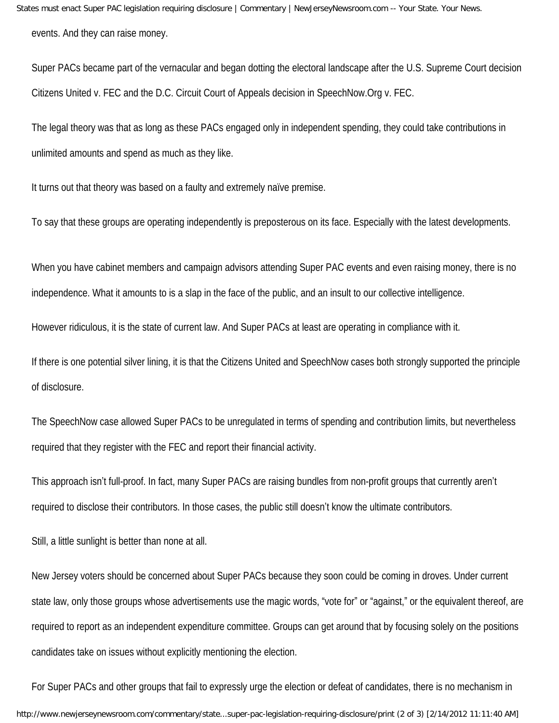States must enact Super PAC legislation requiring disclosure | Commentary | NewJerseyNewsroom.com -- Your State. Your News. events. And they can raise money.

Super PACs became part of the vernacular and began dotting the electoral landscape after the U.S. Supreme Court decision Citizens United v. FEC and the D.C. Circuit Court of Appeals decision in SpeechNow.Org v. FEC.

The legal theory was that as long as these PACs engaged only in independent spending, they could take contributions in unlimited amounts and spend as much as they like.

It turns out that theory was based on a faulty and extremely naïve premise.

To say that these groups are operating independently is preposterous on its face. Especially with the latest developments.

When you have cabinet members and campaign advisors attending Super PAC events and even raising money, there is no independence. What it amounts to is a slap in the face of the public, and an insult to our collective intelligence.

However ridiculous, it is the state of current law. And Super PACs at least are operating in compliance with it.

If there is one potential silver lining, it is that the Citizens United and SpeechNow cases both strongly supported the principle of disclosure.

The SpeechNow case allowed Super PACs to be unregulated in terms of spending and contribution limits, but nevertheless required that they register with the FEC and report their financial activity.

This approach isn't full-proof. In fact, many Super PACs are raising bundles from non-profit groups that currently aren't required to disclose their contributors. In those cases, the public still doesn't know the ultimate contributors.

Still, a little sunlight is better than none at all.

New Jersey voters should be concerned about Super PACs because they soon could be coming in droves. Under current state law, only those groups whose advertisements use the magic words, "vote for" or "against," or the equivalent thereof, are required to report as an independent expenditure committee. Groups can get around that by focusing solely on the positions candidates take on issues without explicitly mentioning the election.

For Super PACs and other groups that fail to expressly urge the election or defeat of candidates, there is no mechanism in http://www.newjerseynewsroom.com/commentary/state...super-pac-legislation-requiring-disclosure/print (2 of 3) [2/14/2012 11:11:40 AM]